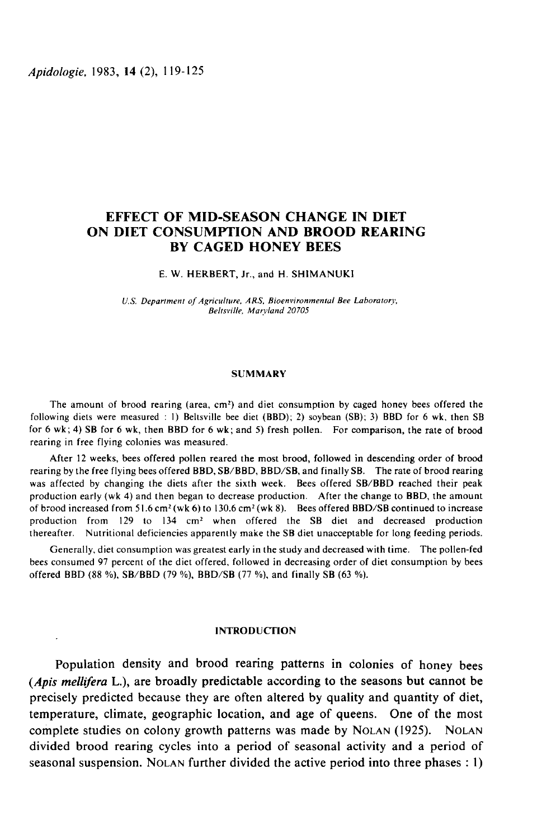# EFFECT OF MID-SEASON CHANGE IN DIET ON DIET CONSUMPTION AND BROOD REARING BY CAGED HONEY BEES

E. W. HERBERT, Jr., and H. SHIMANUKI

U.S. Department of Agriculture, ARS, Bioenvironmental Bee Laboratory, Beltsville, Marvland 20705

## SUMMARY

The amount of brood rearing (area,  $cm<sup>2</sup>$ ) and diet consumption by caged honey bees offered the following diets were measured : 1) Beltsville bee diet (BBD); 2) soybean (SB); 3) BBD for 6 wk, then SB for 6 wk; 4) SB for 6 wk, then BBD for 6 wk; and 5) fresh pollen. For comparison, the rate of brood rearing in free flying colonies was measured.

After 12 weeks, bees offered pollen reared the most brood, followed in descending order of brood rearing by the free flying bees offered BBD, SB/BBD, BBD/SB, and finally SB. The rate of brood rearing was affected by changing the diets after the sixth week. Bees offered SB/BBD reached their peak production early (wk 4) and then began to decrease production. After the change to BBD, the amount of brood increased from 51.6 cm<sup>2</sup> (wk 6) to 130.6 cm<sup>2</sup> (wk 8). Bees offered BBD/SB continued to increase production from 129 to 134 cm2 when offered the SB diet and decreased production thereafter. Nutritional deficiencies apparently make the SB diet unacceptable for long feeding periods.

Generally, diet consumption was greatest early in the study and decreased with time. The pollen-fed bees consumed 97 percent of the diet offered, followed in decreasing order of diet consumption by bees offered BBD (88 %), SB/BBD (79 %), BBD/SB (77 %), and finally SB (63 %).

### **INTRODUCTION**

Population density and brood rearing patterns in colonies of honey bees (Apis mellifera L.), are broadly predictable according to the seasons but cannot be precisely predicted because they are often altered by quality and quantity of diet,<br>temperature, climate, geographic location, and age of queens. One of the most<br>complete studies on colony growth patterns was made by NOLAN temperature, climate, geographic location, and age of queens. One of the most divided brood rearing cycles into a period of seasonal activity and a period of complete studies on colony growth patterns was made by NOLAN (1925). NOLAN divided brood rearing cycles into a period of seasonal activity and a period of seasonal suspension. NOLAN further divided the active period into t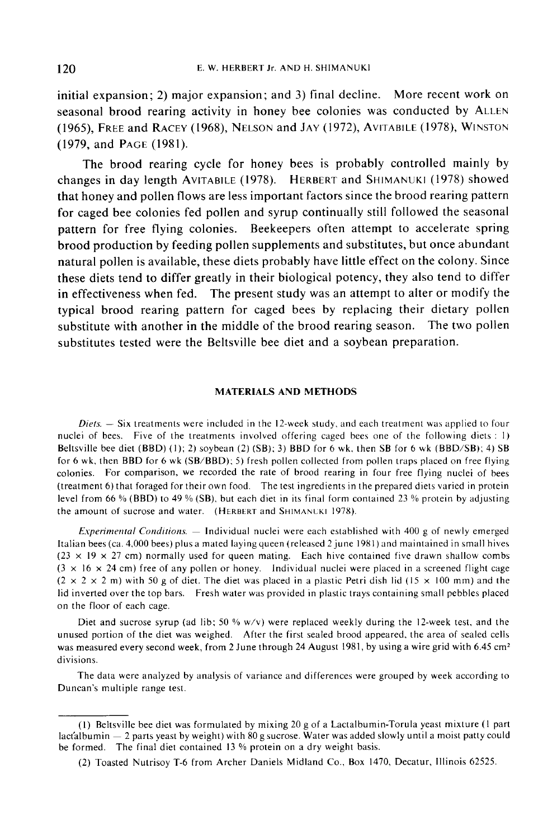initial expansion; 2) major expansion; and 3) final decline. More recent work on initial expansion; 2) major expansion; and 3) final decline. More recent work on<br>seasonal brood rearing activity in honey bee colonies was conducted by ALLEN E. W. HERBERT Jr. AND H. SHIMANUKI<br>
initial expansion; 2) major expansion; and 3) final decline. More recent work on<br>
seasonal brood rearing activity in honey bee colonies was conducted by ALLEN<br>
(1965), FREE and RACEY (19 (1979, and PAGE (1981).

The brood rearing cycle for honey bees is probably controlled mainly by Seasonal brood rearing activity in honey bee colonies was conducted by ALLEN<br>(1965), FREE and RACEY (1968), NELSON and JAY (1972), AVITABILE (1978), WINSTON<br>(1979, and PAGE (1981).<br>The brood rearing cycle for honey bees is that honey and pollen flows are less important factors since the brood rearing pattern for caged bee colonies fed pollen and syrup continually still followed the seasonal pattern for free flying colonies. Beekeepers often attempt to accelerate spring brood production by feeding pollen supplements and substitutes, but once abundant natural pollen is available, these diets probably have little effect on the colony. Since these diets tend to differ greatly in their biological potency, they also tend to differ in effectiveness when fed. The present study was an attempt to alter or modify the typical brood rearing pattern for caged bees by replacing their dietary pollen substitute with another in the middle of the brood rearing season. The two pollen substitutes tested were the Beltsville bee diet and a soybean preparation.

### MATERIALS AND METHODS

 $Diets. - Six treatments were included in the 12-week study, and each treatment was applied to four$ nuclei of bees. Five of the treatments involved offering caged bees one of the following diets : 1) Beltsville bee diet (BBD) (I); 2) soybean (2) (SB); 3) BBD for 6 wk, then SB for 6 wk (BBD/SB); 4) SB for 6 wk, then BBD for 6 wk (SB/BBD); 5) fresh pollen collected from pollen traps placed on free flying<br>colonies. For comparison, we recorded the rate of brood rearing in four free flying nuclei of bees<br>(treatment 6) that colonies. For comparison, we recorded the rate of brood rearing in four free flying nuclei of bees<br>(treatment 6) that foraged for their own food. The test ingredients in the prepared diets varied in protein level from 66 % (BBD) to 49 % (SB), but each diet in its final form contained 23 % protein by adjusting the amount of sucrose and water. (HERBERT and SHIMANUKI 1978).

Experimental Conditions.  $-$  Individual nuclei were each established with 400 g of newly emerged Italian bees (ca. 4,000 bees) plus a mated laying queen (released 2 june 1981 ) and maintained in small hives  $(23 \times 19 \times 27$  cm) normally used for queen mating. Each hive contained five drawn shallow combs  $(3 \times 16 \times 24$  cm) free of any pollen or honey. Individual nuclei were placed in a screened flight cage  $(2 \times 2 \times 2$  m) with 50 g of diet. The diet was placed in a plastic Petri dish lid (15  $\times$  100 mm) and the lid inverted over the top bars. Fresh water was provided in plastic trays containing small pebbles placed on the floor of each cage.

Diet and sucrose syrup (ad lib; 50 % w/v) were replaced weekly during the 12-week test, and the unused portion of the diet was weighed. After the first sealed brood appeared, the area of sealed cells was measured every second week, from 2 June through 24 August 1981, by using a wire grid with 6.45 cm<sup>2</sup> divisions.

The data were analyzed by analysis of variance and differences were grouped by week according to Duncan's multiple range test.

<sup>(</sup>I) Beltsville bee diet was formulated by mixing 20 g of a Lactalbumin-Torula yeast mixture (I part lacfalbumin  $-2$  parts yeast by weight) with 80 g sucrose. Water was added slowly until a moist patty could be formed. The final diet contained 13 % protein on a dry weight basis.

<sup>(2)</sup> Toasted Nutrisoy T-6 from Archer Daniels Midland Co., Box 1470, Decatur, Illinois 62525.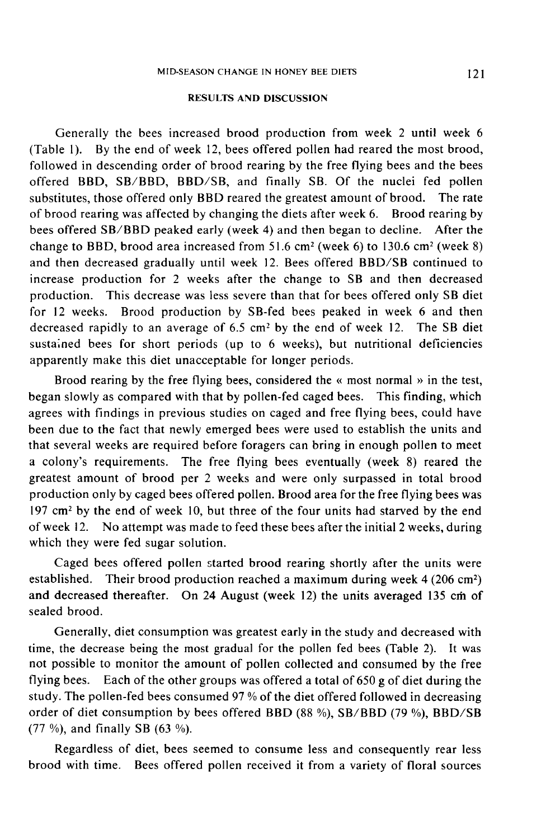## RESULTS AND DISCUSSION

Generally the bees increased brood production from week 2 until week 6 (Table l). By the end of week 12, bees offered pollen had reared the most brood, followed in descending order of brood rearing by the free flying bees and the bees offered BBD, SB/BBD, BBD/SB, and finally SB. Of the nuclei fed pollen substitutes, those offered only BBD reared the greatest amount of brood. The rate of brood rearing was affected by changing the diets after week 6. Brood rearing by bees offered SB/BBD peaked early (week 4) and then began to decline. After the change to BBD, brood area increased from  $51.6$  cm<sup>2</sup> (week 6) to 130.6 cm<sup>2</sup> (week 8) and then decreased gradually until week 12. Bees offered BBD/SB continued to increase production for 2 weeks after the change to SB and then decreased production. This decrease was less severe than that for bees offered only SB diet for 12 weeks. Brood production by SB-fed bees peaked in week 6 and then decreased rapidly to an average of 6.5 cm2 by the end of week 12. The SB diet sustained bees for short periods (up to 6 weeks), but nutritional deficiencies apparently make this diet unacceptable for longer periods.

Brood rearing by the free flying bees, considered the « most normal » in the test, began slowly as compared with that by pollen-fed caged bees. This finding, which agrees with findings in previous studies on caged and free flying bees, could have been due to the fact that newly emerged bees were used to establish the units and that several weeks are required before foragers can bring in enough pollen to meet a colony's requirements. The free flying bees eventually (week 8) reared the greatest amount of brood per 2 weeks and were only surpassed in total brood production only by caged bees offered pollen. Brood area for the free flying bees was  $197 \text{ cm}^2$  by the end of week 10, but three of the four units had starved by the end of week 12. No attempt was made to feed these bees after the initial 2 weeks, during which they were fed sugar solution.

Caged bees offered pollen started brood rearing shortly after the units were<br>established. Their brood production reached a maximum during week 4 (206 cm<sup>2</sup>) and decreased thereafter. On 24 August (week 12) the units averaged 135 cm of sealed brood.

Generally, diet consumption was greatest early in the study and decreased with time, the decrease being the most gradual for the pollen fed bees (Table 2). It was not possible to monitor the amount of pollen collected and consumed by the free flying bees. Each of the other groups was offered a total of 650 g of diet during the study. The pollen-fed bees consumed 97 % of the diet offered followed in decreasing order of diet consumption by bees offered BBD (88 %), SB/BBD (79 %), BBD/SB (77 %), and finally SB (63 %).

Regardless of diet, bees seemed to consume less and consequently rear less brood with time. Bees offered pollen received it from a variety of floral sources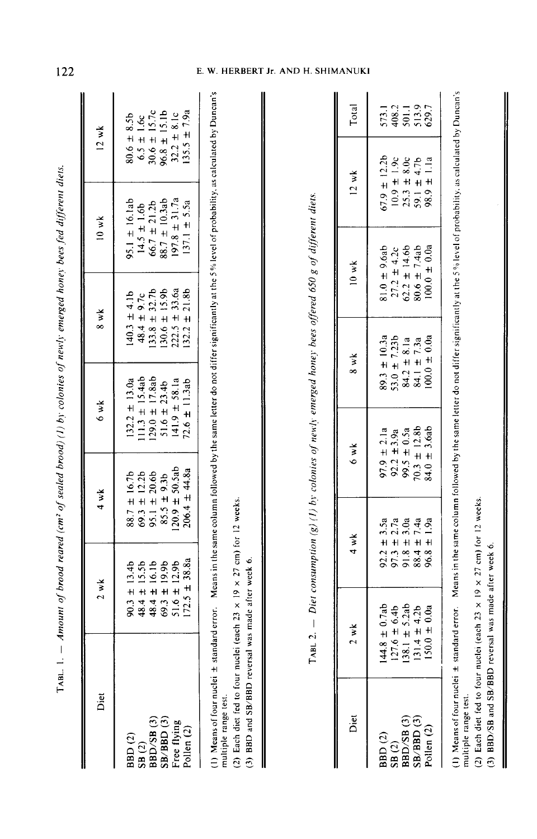| Diet                                                                                     | 2 wk                                                                                         | 4 w k                                                                                        | 6 wk                                                                                                 | 8 wk                                                                                                                    | 10 wk                                                                                                           | $12$ wk                                                                                  |
|------------------------------------------------------------------------------------------|----------------------------------------------------------------------------------------------|----------------------------------------------------------------------------------------------|------------------------------------------------------------------------------------------------------|-------------------------------------------------------------------------------------------------------------------------|-----------------------------------------------------------------------------------------------------------------|------------------------------------------------------------------------------------------|
| BBD (2)<br>SB (2)<br>SBD/SB (3)<br>BBD/SB (3)<br>SB/BBD (3)<br>Free flying<br>Pollen (2) | 90.3 ± 13.4b<br>48.4 ± 15.5b<br>48.4 ± 16.1b<br>48.4 ± 19.9b<br>69.3 ± 12.9b<br>51.6 ± 12.9b | 88.7 ± 16.7b<br>69.3 ± 12.2b<br>95.1 ± 20.6b<br>85.5 ± 9.3b<br>85.5 ± 9.5ab<br>1209 ± 50.5ab | 132.2 ± 13.0a<br>111.3 ± 15.4ab<br>129.0 ± 17.8ab<br>51.6 ± 23.4b<br>141.9 ± 58.1a<br>141.9 ± 11.3ab | $140.3 \pm 4.1b$<br>$48.4 \pm 9.7c$<br>$133.8 \pm 32.7b$<br>$130.6 \pm 15.9b$<br>$222.5 \pm 33.6a$<br>$222.5 \pm 21.8b$ | 95.1 ± 16.1ab<br>14.5 ± 1.6b<br>66.7 ± 21.2b<br>88.7 ± 10.3ab<br>88.7 ± 10.3ab<br>197.8 ± 31.7a<br>137.1 ± 5.5a | 80.6 ± 8.5b<br>6.5 ± 1.6c<br>9.0.6 ± 15.7c<br>96.8 ± 15.1b<br>32.2 ± 8.1c<br>32.5 ± 7.9a |
|                                                                                          |                                                                                              |                                                                                              |                                                                                                      |                                                                                                                         |                                                                                                                 |                                                                                          |

(1) Means of four nuclei ± standard error. Means in the same column followed by the same letter do not differ significantly at the 5% level of probability, as calculated by Duncan's multiple range test.

(2) Each diet fed to four nuclei (each 23  $\times$  19  $\times$  27 cm) for 12 weeks.

(3) BBD and SB/BBD reversal was made after week 6.

I

| i<br>ì                                           |
|--------------------------------------------------|
|                                                  |
| ï                                                |
| $\ddot{\phantom{0}}$                             |
| $\vdots$                                         |
| ì                                                |
|                                                  |
| ֧֖֖֚֚֚֡֝֬֝֟֟֝֬֝<br>֧֚֚֚֝                         |
| ֧֧֢֢֢֦֧֦֧֢ׅ֧֧֧֧֪֦֧֧֦֧֦֧֦֧֦֧֦֧֧֧֡֬֓֓֓֓֓֓֓֓֓֓<br>ï |
| ŗ<br>$\vdots$                                    |
| ì                                                |
| .<br>.                                           |
|                                                  |
|                                                  |
|                                                  |
| j                                                |
| ı                                                |
| $\frac{1}{2}$                                    |
| ļ                                                |
| I                                                |
| $\vdots$                                         |
| $\frac{1}{2}$<br>ā<br>Í                          |

| Total                         | 573.1<br>408.2<br>501.1<br>513.9                                                              |
|-------------------------------|-----------------------------------------------------------------------------------------------|
| $12$ wk                       | $67.9 \pm 12.2b$<br>$10.9 \pm 1.9c$<br>$25.3 \pm 8.0c$<br>$59.1 \pm 4.7b$<br>98.9 ± 1.1a      |
| 10 wk                         | 81.0 ± 9.6ab<br>27.2 ± 4.2c<br>62.2 ± 14.6b<br>80.6 ± 7.4ab<br>100.0 ± 0.0a                   |
| 8 wk                          | 89.3 ± 10.3a<br>53.0 ± 7.23b<br>84.2 ± 8.1a<br>84.1 ± 7.3a<br>84.1 ± 7.3a                     |
| 6 wk                          | 97.9 $\pm$ 2.1a<br>92.2 $\pm$ 3.9a<br>99.5 $\pm$ 0.5a<br>99.3 $\pm$ 12.8b<br>70.3 $\pm$ 12.8b |
| $4 \times k$                  | 92.2 ± 3.5a<br>97.3 ± 2.7a<br>91.8 ± 3.0a<br>88.4 ± 7.4a<br>88.4 ± 1.9a                       |
| $\frac{1}{2}$ w $\frac{1}{2}$ | 144.8 ± 0.7ab<br>127.6 ± 6.4b<br>138.1 ± 5.2ab<br>131.4 ± 4.2b<br>150.0 ± 0.0a                |
| het                           | BBD (2)<br>SB (2)<br>BBD/SB (3)<br>BBD/SB (3)<br>SB/BBD (3)<br>Pollen (2)                     |

(1) Means of four nuclei ± standard error. Means in the same column followed by the same letter do not differ significantly at the 5% level of probability, as calculated by Duncan's multiple range test.

(2) Each diet fed to four nuclei (each 23  $\times$  19  $\times$  27 cm) for 12 weeks.

(3) BBD/SB and SB/BBD reversal was made after week 6.

 $\tau_{ABL}$ . 1.  $-$  Amount of brood reared (cm<sup>2</sup> of sealed brood) (1) by colonies of newly emerged honey bees fed different diets.

# E. W. HERBERT Jr. AND H. SHIMANUKI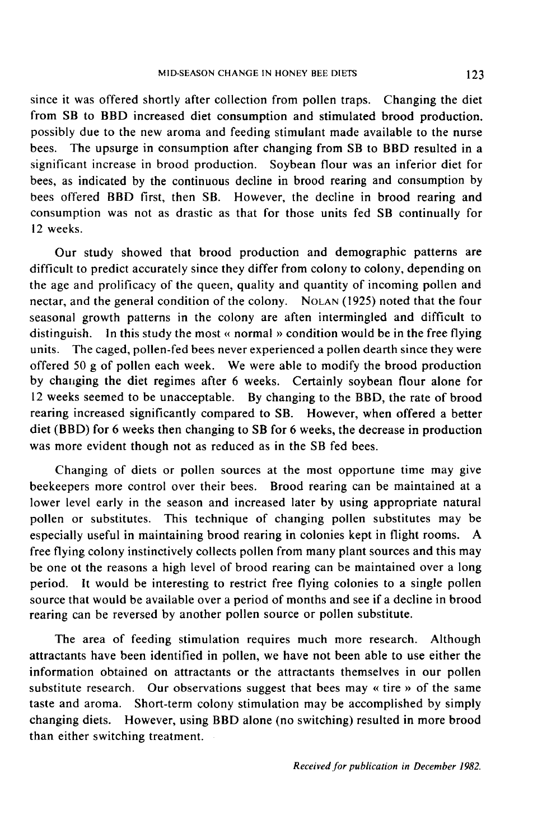since it was offered shortly after collection from pollen traps. Changing the diet from SB to BBD increased diet consumption and stimulated brood production. possibly due to the new aroma and feeding stimulant made available to the nurse bees. The upsurge in consumption after changing from SB to BBD resulted in a significant increase in brood production. Soybean flour was an inferior diet for bees, as indicated by the continuous decline in brood rearing and consumption by bees offered BBD first, then SB. However, the decline in brood rearing and consumption was not as drastic as that for those units fed SB continually for 12 weeks.

Our study showed that brood production and demographic patterns are difficult to predict accurately since they differ from colony to colony, depending on the age and prolificacy of the queen, quality and quantity of incoming pollen and nectar, and the general condition of the colony. Not a the age and prolificacy of the queen, quality and quantity of incoming pollen and seasonal growth patterns in the colony are aften intermingled and difficult to distinguish. In this study the most « normal » condition would be in the free flying units. The caged, pollen-fed bees never experienced a pollen dearth since they were offered 50 g of pollen each week. We were able to modify the brood production by chauging the diet regimes after 6 weeks. Certainly soybean flour alone for 12 weeks seemed to be unacceptable. By changing to the BBD, the rate of brood rearing increased significantly compared to SB. However, when offered a better diet (BBD) for 6 weeks then changing to SB for 6 weeks, the decrease in production was more evident though not as reduced as in the SB fed bees.

Changing of diets or pollen sources at the most opportune time may give beekeepers more control over their bees. Brood rearing can be maintained at a lower level early in the season and increased later by using appropriate natural pollen or substitutes. This technique of changing pollen substitutes may be especially useful in maintaining brood rearing in colonies kept in flight rooms. A free flying colony instinctively collects pollen from many plant sources and this may be one ot the reasons a high level of brood rearing can be maintained over a long period. It would be interesting to restrict free flying colonies to a single pollen source that would be available over a period of months and see if a decline in brood rearing can be reversed by another pollen source or pollen substitute.

The area of feeding stimulation requires much more research. Although attractants have been identified in pollen, we have not been able to use either the information obtained on attractants or the attractants themselves in our pollen substitute research. Our observations suggest that bees may « tire » of the same taste and aroma. Short-term colony stimulation may be accomplished by simply changing diets. However, using BBD alone (no switching) resulted in more brood than either switching treatment.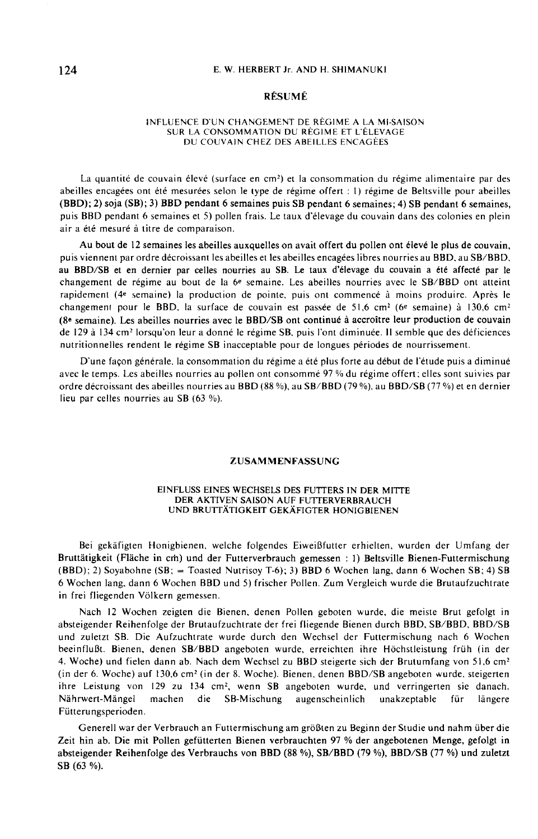#### E. W. HERBERT Jr. AND H. SHIMANUKI

#### RÉSUMÉ

#### INFLUENCE D'UN CHANGEMENT DE RÉGIME A LA MI-SAISON SUR LA CONSOMMATION DU RÉGIME ET L'ÉLEVAGE DU COUVAIN CHEZ DES ABEILLES ENCAGÉES

La quantité de couvain élevé (surface en cm<sup>2</sup>) et la consommation du régime alimentaire par des abeilles encagées ont été mesurées selon le type de régime offert : I) régime de Beltsville pour abeilles (BBD); 2) soja (SB); 3) BBD pendant 6 semaines puis SB pendant 6 semaines; 4) SB pendant 6 semaines, puis BBD pendant 6 semaines et 5) pollen frais. Le taux d'élevage du couvain dans des colonies en plein air a été mesuré à titre de comparaison.

Au bout de 12 semaines les abeilles auxquelles on avait offert du pollen ont élevé le plus de couvain, puis viennent par ordre décroissant les abeilles et les abeilles encagées libres nourries au BBD, au SB/BBD, au BBD/SB et en dernier par celles nourries au SB. Le taux d'élevage du couvain a été affecté par le changement de régime au bout de la 6e semaine. Les abeilles nourries avec le SB/BBD ont atteint rapidement (4e semaine) la production de pointe, puis ont commencé à moins produire. Après le changement pour le BBD, la surface de couvain est passée de 51,6 cm<sup>2</sup> (6<sup>e</sup> semaine) à 130,6 cm<sup>2</sup> (8e semaine). Les abeilles nourries avec le BBD/SB ont continué à accroître leur production de couvain de 129 à 134 cm<sup>2</sup> lorsqu'on leur a donné le régime SB, puis l'ont diminuée. Il semble que des déficiences nutritionnelles rendent le régime SB inacceptable pour de longues périodes de nourrissement.

D'une façon générale, la consommation du régime a été plus forte au début de l'étude puis a diminué avec le temps. Les abeilles nourries au pollen ont consommé 97 % du régime offert; elles sont suivies par ordre décroissant des abeilles nourries au BBD (88 %), au SB/BBD (79 %), au BBD/SB (77 %) et en dernier lieu par celles nourries au SB (63 %).

#### ZUSAMMENFASSUNG

#### EINFLUSS EINES WECHSELS DES FUTTERS IN DER MITTE DER AKTIVEN SAISON AUF FUTTERVERBRAUCH UND BRUTTÄTIGKEIT GEKÄFIGTER HONIGBIENEN

Bei gekäfigten Honigbienen, welche folgendes Eiweißfutter erhielten, wurden der Umfang der Bruttätigkeit (Fläche in cm) und der Futterverbrauch gemessen : 1) Beltsville Bienen-Futtermischung (BBD); 2) Soyabohne (SB; = Toasted Nutrisoy T-6); 3) BBD 6 Wochen lang, dann 6 Wochen SB; 4) SB 6 Wochen lang, dann 6 Wochen BBD und 5) frischer Pollen. Zum Vergleich wurde die Brutaufzuchtrate in frei fliegenden Völkern gemessen.

Nach 12 Wochen zeigten die Bienen, denen Pollen geboten wurde, die meiste Brut gefolgt in absteigender Reihenfolge der Brutaufzuchtrate der frei fliegende Bienen durch BBD, SB/BBD, BBD/SB und zuletzt SB. Die Aufzuchtrate wurde durch den Wechsel der Futtermischung nach 6 Wochen beeinflußt. Bienen, denen SB/BBD angeboten wurde, erreichten ihre Höchstleistung früh (in der 4. Woche) und fielen dann ab. Nach dem Wechsel zu BBD steigerte sich der Brutumfang von 51,6 cm<sup>2</sup> (in der 6. Woche) auf 130,6 cm' (in der 8. Woche). Bienen, denen BBD/SB angeboten wurde. steigerten ihre Leistung von 129 zu 134 CM2, wenn SB angeboten wurde, und verringerten sie danach. Nährwert-Mängel machen die SB-Mischung augenscheinlich unakzeptable für längere Fütterungsperioden.

Generell war der Verbrauch an Futtermischung am größten zu Beginn der Studie und nahm über die Zeit hin ab. Die mit Pollen gefütterten Bienen verbrauchten 97 % der angebotenen Menge, gefolgt in absteigender Reihenfolge des Verbrauchs von BBD (88 %), SB/BBD (79 %), BBD/SB (77 %) und zuletzt SB (63 %).